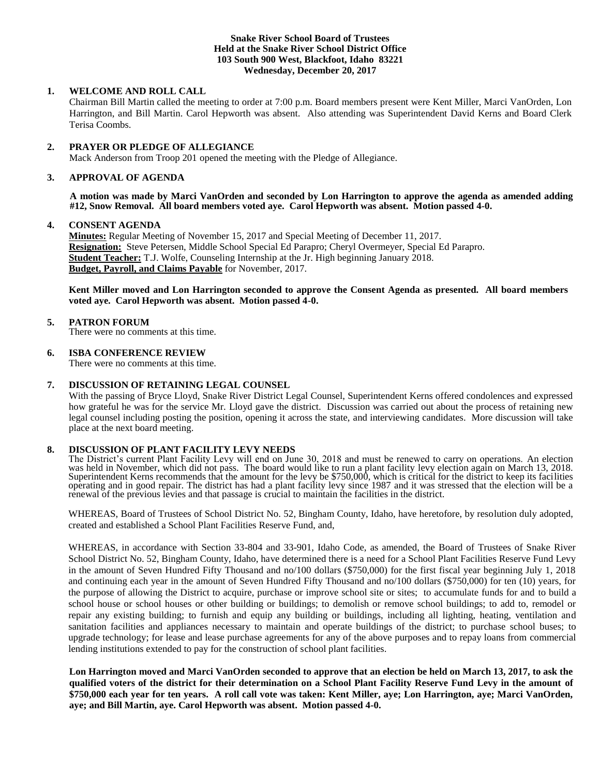## **Snake River School Board of Trustees Held at the Snake River School District Office 103 South 900 West, Blackfoot, Idaho 83221 Wednesday, December 20, 2017**

# **1. WELCOME AND ROLL CALL**

Chairman Bill Martin called the meeting to order at 7:00 p.m. Board members present were Kent Miller, Marci VanOrden, Lon Harrington, and Bill Martin. Carol Hepworth was absent. Also attending was Superintendent David Kerns and Board Clerk Terisa Coombs.

# **2. PRAYER OR PLEDGE OF ALLEGIANCE**

Mack Anderson from Troop 201 opened the meeting with the Pledge of Allegiance.

# **3. APPROVAL OF AGENDA**

**A motion was made by Marci VanOrden and seconded by Lon Harrington to approve the agenda as amended adding #12, Snow Removal. All board members voted aye. Carol Hepworth was absent. Motion passed 4-0.**

### **4. CONSENT AGENDA**

**Minutes:** Regular Meeting of November 15, 2017 and Special Meeting of December 11, 2017. **Resignation:** Steve Petersen, Middle School Special Ed Parapro; Cheryl Overmeyer, Special Ed Parapro. **Student Teacher:** T.J. Wolfe, Counseling Internship at the Jr. High beginning January 2018. **Budget, Payroll, and Claims Payable** for November, 2017.

**Kent Miller moved and Lon Harrington seconded to approve the Consent Agenda as presented. All board members voted aye. Carol Hepworth was absent. Motion passed 4-0.**

### **5. PATRON FORUM**

There were no comments at this time.

### **6. ISBA CONFERENCE REVIEW**

There were no comments at this time.

# **7. DISCUSSION OF RETAINING LEGAL COUNSEL**

With the passing of Bryce Lloyd, Snake River District Legal Counsel, Superintendent Kerns offered condolences and expressed how grateful he was for the service Mr. Lloyd gave the district. Discussion was carried out about the process of retaining new legal counsel including posting the position, opening it across the state, and interviewing candidates. More discussion will take place at the next board meeting.

### **8. DISCUSSION OF PLANT FACILITY LEVY NEEDS**

The District's current Plant Facility Levy will end on June 30, 2018 and must be renewed to carry on operations. An election was held in November, which did not pass. The board would like to run a plant facility levy election again on March 13, 2018. Superintendent Kerns recommends that the amount for the levy be \$750,000, which is critical for the district to keep its facilities operating and in good repair. The district has had a plant facility levy since 1987 and it was stressed that the election will be a renewal of the previous levies and that passage is crucial to maintain the facilities in the district.

WHEREAS, Board of Trustees of School District No. 52, Bingham County, Idaho, have heretofore, by resolution duly adopted, created and established a School Plant Facilities Reserve Fund, and,

WHEREAS, in accordance with Section 33-804 and 33-901, Idaho Code, as amended, the Board of Trustees of Snake River School District No. 52, Bingham County, Idaho, have determined there is a need for a School Plant Facilities Reserve Fund Levy in the amount of Seven Hundred Fifty Thousand and no/100 dollars (\$750,000) for the first fiscal year beginning July 1, 2018 and continuing each year in the amount of Seven Hundred Fifty Thousand and no/100 dollars (\$750,000) for ten (10) years, for the purpose of allowing the District to acquire, purchase or improve school site or sites; to accumulate funds for and to build a school house or school houses or other building or buildings; to demolish or remove school buildings; to add to, remodel or repair any existing building; to furnish and equip any building or buildings, including all lighting, heating, ventilation and sanitation facilities and appliances necessary to maintain and operate buildings of the district; to purchase school buses; to upgrade technology; for lease and lease purchase agreements for any of the above purposes and to repay loans from commercial lending institutions extended to pay for the construction of school plant facilities.

**Lon Harrington moved and Marci VanOrden seconded to approve that an election be held on March 13, 2017, to ask the qualified voters of the district for their determination on a School Plant Facility Reserve Fund Levy in the amount of \$750,000 each year for ten years. A roll call vote was taken: Kent Miller, aye; Lon Harrington, aye; Marci VanOrden, aye; and Bill Martin, aye. Carol Hepworth was absent. Motion passed 4-0.**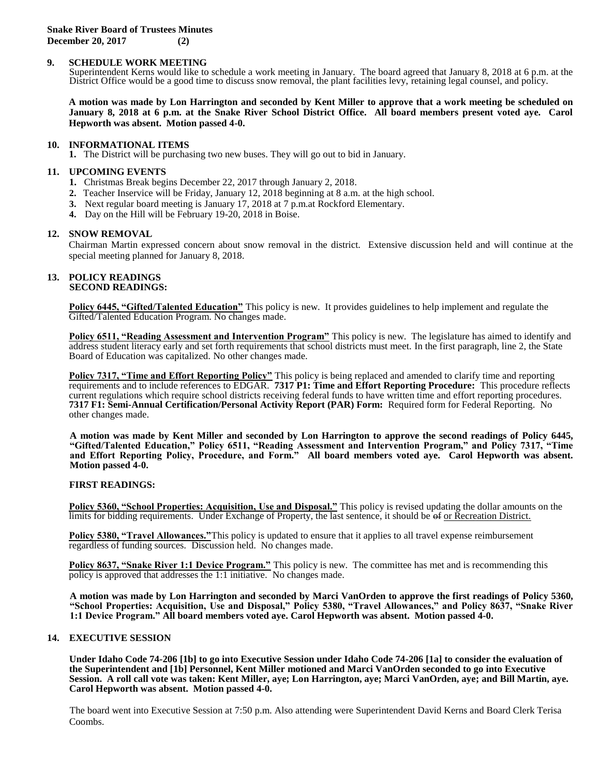# **9. SCHEDULE WORK MEETING**

Superintendent Kerns would like to schedule a work meeting in January. The board agreed that January 8, 2018 at 6 p.m. at the District Office would be a good time to discuss snow removal, the plant facilities levy, retaining legal counsel, and policy.

**A motion was made by Lon Harrington and seconded by Kent Miller to approve that a work meeting be scheduled on January 8, 2018 at 6 p.m. at the Snake River School District Office. All board members present voted aye. Carol Hepworth was absent. Motion passed 4-0.**

#### **10. INFORMATIONAL ITEMS**

**1.** The District will be purchasing two new buses. They will go out to bid in January.

### **11. UPCOMING EVENTS**

- **1.** Christmas Break begins December 22, 2017 through January 2, 2018.
- **2.** Teacher Inservice will be Friday, January 12, 2018 beginning at 8 a.m. at the high school.
- **3.** Next regular board meeting is January 17, 2018 at 7 p.m.at Rockford Elementary.
- **4.** Day on the Hill will be February 19-20, 2018 in Boise.

### **12. SNOW REMOVAL**

Chairman Martin expressed concern about snow removal in the district. Extensive discussion held and will continue at the special meeting planned for January 8, 2018.

#### **13. POLICY READINGS SECOND READINGS:**

**Policy 6445, "Gifted/Talented Education"** This policy is new. It provides guidelines to help implement and regulate the Gifted/Talented Education Program. No changes made.

Policy 6511, "Reading Assessment and Intervention Program" This policy is new. The legislature has aimed to identify and address student literacy early and set forth requirements that school districts must meet. In the first paragraph, line 2, the State Board of Education was capitalized. No other changes made.

**Policy 7317, "Time and Effort Reporting Policy"** This policy is being replaced and amended to clarify time and reporting requirements and to include references to EDGAR. **7317 P1: Time and Effort Reporting Procedure:** This procedure reflects current regulations which require school districts receiving federal funds to have written time and effort reporting procedures. **7317 F1: Semi-Annual Certification/Personal Activity Report (PAR) Form:** Required form for Federal Reporting. No other changes made.

**A motion was made by Kent Miller and seconded by Lon Harrington to approve the second readings of Policy 6445, "Gifted/Talented Education," Policy 6511, "Reading Assessment and Intervention Program," and Policy 7317, "Time and Effort Reporting Policy, Procedure, and Form." All board members voted aye. Carol Hepworth was absent. Motion passed 4-0.** 

# **FIRST READINGS:**

**Policy 5360, "School Properties: Acquisition, Use and Disposal."** This policy is revised updating the dollar amounts on the limits for bidding requirements. Under Exchange of Property, the last sentence, it should be  $\Theta$  or Recreation District.

**Policy 5380, "Travel Allowances."**This policy is updated to ensure that it applies to all travel expense reimbursement regardless of funding sources. Discussion held. No changes made.

**Policy 8637, "Snake River 1:1 Device Program."** This policy is new. The committee has met and is recommending this policy is approved that addresses the 1:1 initiative. No changes made.

**A motion was made by Lon Harrington and seconded by Marci VanOrden to approve the first readings of Policy 5360, "School Properties: Acquisition, Use and Disposal," Policy 5380, "Travel Allowances," and Policy 8637, "Snake River 1:1 Device Program." All board members voted aye. Carol Hepworth was absent. Motion passed 4-0.** 

# **14. EXECUTIVE SESSION**

**Under Idaho Code 74-206 [1b] to go into Executive Session under Idaho Code 74-206 [1a] to consider the evaluation of the Superintendent and [1b] Personnel, Kent Miller motioned and Marci VanOrden seconded to go into Executive Session. A roll call vote was taken: Kent Miller, aye; Lon Harrington, aye; Marci VanOrden, aye; and Bill Martin, aye. Carol Hepworth was absent. Motion passed 4-0.** 

The board went into Executive Session at 7:50 p.m. Also attending were Superintendent David Kerns and Board Clerk Terisa Coombs.